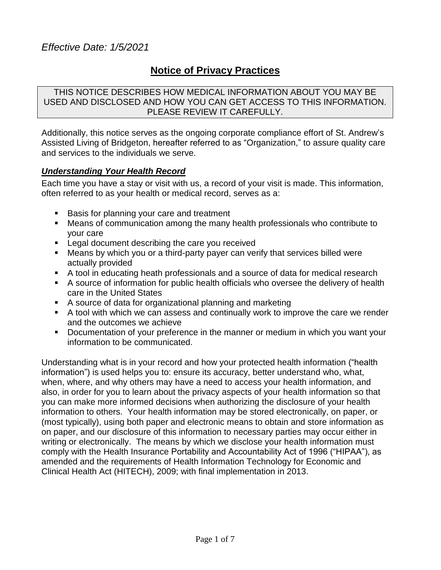# **Notice of Privacy Practices**

THIS NOTICE DESCRIBES HOW MEDICAL INFORMATION ABOUT YOU MAY BE USED AND DISCLOSED AND HOW YOU CAN GET ACCESS TO THIS INFORMATION. PLEASE REVIEW IT CAREFULLY.

Additionally, this notice serves as the ongoing corporate compliance effort of St. Andrew's Assisted Living of Bridgeton, hereafter referred to as "Organization," to assure quality care and services to the individuals we serve.

#### *Understanding Your Health Record*

Each time you have a stay or visit with us, a record of your visit is made. This information, often referred to as your health or medical record, serves as a:

- **Basis for planning your care and treatment**
- Means of communication among the many health professionals who contribute to your care
- **Legal document describing the care you received**
- Means by which you or a third-party payer can verify that services billed were actually provided
- A tool in educating heath professionals and a source of data for medical research
- A source of information for public health officials who oversee the delivery of health care in the United States
- A source of data for organizational planning and marketing
- A tool with which we can assess and continually work to improve the care we render and the outcomes we achieve
- Documentation of your preference in the manner or medium in which you want your information to be communicated.

Understanding what is in your record and how your protected health information ("health information") is used helps you to: ensure its accuracy, better understand who, what, when, where, and why others may have a need to access your health information, and also, in order for you to learn about the privacy aspects of your health information so that you can make more informed decisions when authorizing the disclosure of your health information to others. Your health information may be stored electronically, on paper, or (most typically), using both paper and electronic means to obtain and store information as on paper, and our disclosure of this information to necessary parties may occur either in writing or electronically. The means by which we disclose your health information must comply with the Health Insurance Portability and Accountability Act of 1996 ("HIPAA"), as amended and the requirements of Health Information Technology for Economic and Clinical Health Act (HITECH), 2009; with final implementation in 2013.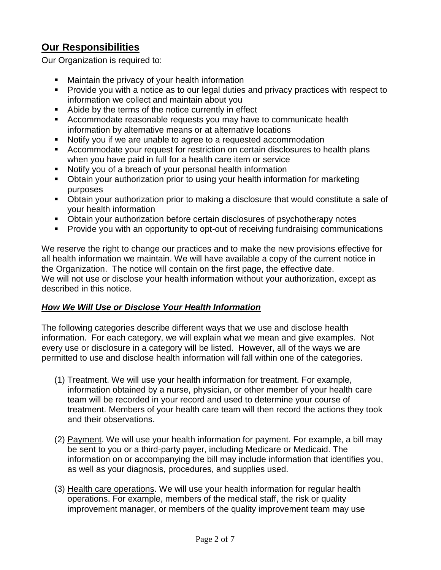# **Our Responsibilities**

Our Organization is required to:

- **Maintain the privacy of your health information**
- **Provide you with a notice as to our legal duties and privacy practices with respect to** information we collect and maintain about you
- Abide by the terms of the notice currently in effect
- Accommodate reasonable requests you may have to communicate health information by alternative means or at alternative locations
- Notify you if we are unable to agree to a requested accommodation
- Accommodate your request for restriction on certain disclosures to health plans when you have paid in full for a health care item or service
- Notify you of a breach of your personal health information
- Obtain your authorization prior to using your health information for marketing purposes
- Obtain your authorization prior to making a disclosure that would constitute a sale of your health information
- Obtain your authorization before certain disclosures of psychotherapy notes
- **Provide you with an opportunity to opt-out of receiving fundraising communications**

We reserve the right to change our practices and to make the new provisions effective for all health information we maintain. We will have available a copy of the current notice in the Organization. The notice will contain on the first page, the effective date. We will not use or disclose your health information without your authorization, except as described in this notice.

## *How We Will Use or Disclose Your Health Information*

The following categories describe different ways that we use and disclose health information. For each category, we will explain what we mean and give examples. Not every use or disclosure in a category will be listed. However, all of the ways we are permitted to use and disclose health information will fall within one of the categories.

- (1) Treatment. We will use your health information for treatment. For example, information obtained by a nurse, physician, or other member of your health care team will be recorded in your record and used to determine your course of treatment. Members of your health care team will then record the actions they took and their observations.
- (2) Payment. We will use your health information for payment. For example, a bill may be sent to you or a third-party payer, including Medicare or Medicaid. The information on or accompanying the bill may include information that identifies you, as well as your diagnosis, procedures, and supplies used.
- (3) Health care operations. We will use your health information for regular health operations. For example, members of the medical staff, the risk or quality improvement manager, or members of the quality improvement team may use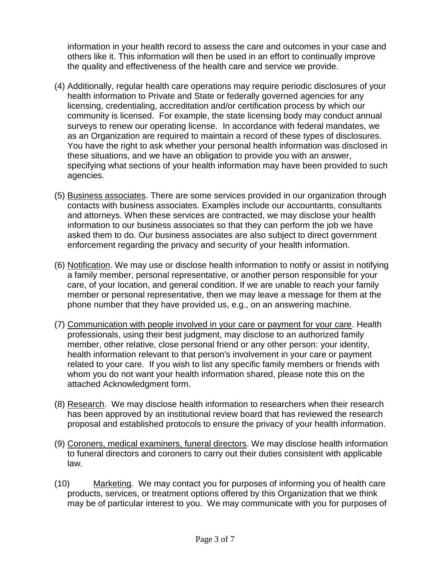information in your health record to assess the care and outcomes in your case and others like it. This information will then be used in an effort to continually improve the quality and effectiveness of the health care and service we provide.

- (4) Additionally, regular health care operations may require periodic disclosures of your health information to Private and State or federally governed agencies for any licensing, credentialing, accreditation and/or certification process by which our community is licensed. For example, the state licensing body may conduct annual surveys to renew our operating license. In accordance with federal mandates, we as an Organization are required to maintain a record of these types of disclosures. You have the right to ask whether your personal health information was disclosed in these situations, and we have an obligation to provide you with an answer, specifying what sections of your health information may have been provided to such agencies.
- (5) Business associates. There are some services provided in our organization through contacts with business associates. Examples include our accountants, consultants and attorneys. When these services are contracted, we may disclose your health information to our business associates so that they can perform the job we have asked them to do. Our business associates are also subject to direct government enforcement regarding the privacy and security of your health information.
- (6) Notification. We may use or disclose health information to notify or assist in notifying a family member, personal representative, or another person responsible for your care, of your location, and general condition. If we are unable to reach your family member or personal representative, then we may leave a message for them at the phone number that they have provided us, e.g., on an answering machine.
- (7) Communication with people involved in your care or payment for your care. Health professionals, using their best judgment, may disclose to an authorized family member, other relative, close personal friend or any other person: your identity, health information relevant to that person's involvement in your care or payment related to your care. If you wish to list any specific family members or friends with whom you do not want your health information shared, please note this on the attached Acknowledgment form.
- (8) Research. We may disclose health information to researchers when their research has been approved by an institutional review board that has reviewed the research proposal and established protocols to ensure the privacy of your health information.
- (9) Coroners, medical examiners, funeral directors. We may disclose health information to funeral directors and coroners to carry out their duties consistent with applicable law.
- (10) Marketing. We may contact you for purposes of informing you of health care products, services, or treatment options offered by this Organization that we think may be of particular interest to you. We may communicate with you for purposes of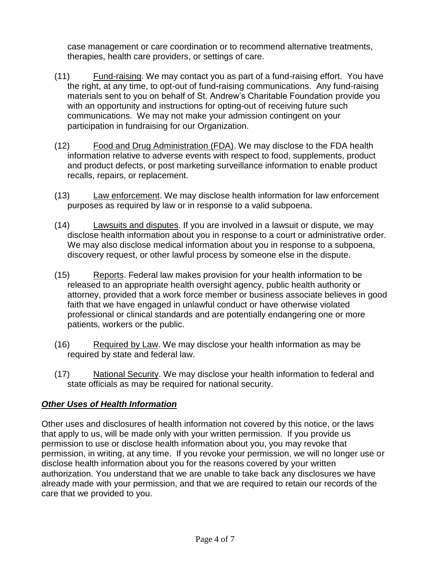case management or care coordination or to recommend alternative treatments, therapies, health care providers, or settings of care.

- (11) Fund-raising. We may contact you as part of a fund-raising effort. You have the right, at any time, to opt-out of fund-raising communications. Any fund-raising materials sent to you on behalf of St. Andrew's Charitable Foundation provide you with an opportunity and instructions for opting-out of receiving future such communications. We may not make your admission contingent on your participation in fundraising for our Organization.
- (12) Food and Drug Administration (FDA). We may disclose to the FDA health information relative to adverse events with respect to food, supplements, product and product defects, or post marketing surveillance information to enable product recalls, repairs, or replacement.
- (13) Law enforcement. We may disclose health information for law enforcement purposes as required by law or in response to a valid subpoena.
- (14) Lawsuits and disputes. If you are involved in a lawsuit or dispute, we may disclose health information about you in response to a court or administrative order. We may also disclose medical information about you in response to a subpoena, discovery request, or other lawful process by someone else in the dispute.
- (15) Reports. Federal law makes provision for your health information to be released to an appropriate health oversight agency, public health authority or attorney, provided that a work force member or business associate believes in good faith that we have engaged in unlawful conduct or have otherwise violated professional or clinical standards and are potentially endangering one or more patients, workers or the public.
- (16) Required by Law. We may disclose your health information as may be required by state and federal law.
- (17) National Security. We may disclose your health information to federal and state officials as may be required for national security.

## *Other Uses of Health Information*

Other uses and disclosures of health information not covered by this notice, or the laws that apply to us, will be made only with your written permission. If you provide us permission to use or disclose health information about you, you may revoke that permission, in writing, at any time. If you revoke your permission, we will no longer use or disclose health information about you for the reasons covered by your written authorization. You understand that we are unable to take back any disclosures we have already made with your permission, and that we are required to retain our records of the care that we provided to you.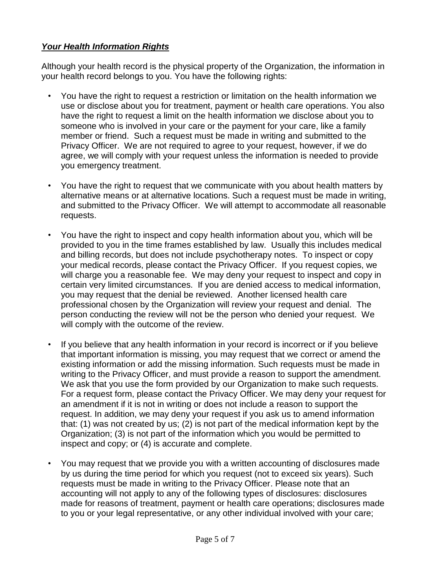## *Your Health Information Rights*

Although your health record is the physical property of the Organization, the information in your health record belongs to you. You have the following rights:

- You have the right to request a restriction or limitation on the health information we use or disclose about you for treatment, payment or health care operations. You also have the right to request a limit on the health information we disclose about you to someone who is involved in your care or the payment for your care, like a family member or friend. Such a request must be made in writing and submitted to the Privacy Officer. We are not required to agree to your request, however, if we do agree, we will comply with your request unless the information is needed to provide you emergency treatment.
- You have the right to request that we communicate with you about health matters by alternative means or at alternative locations. Such a request must be made in writing, and submitted to the Privacy Officer. We will attempt to accommodate all reasonable requests.
- You have the right to inspect and copy health information about you, which will be provided to you in the time frames established by law. Usually this includes medical and billing records, but does not include psychotherapy notes. To inspect or copy your medical records, please contact the Privacy Officer. If you request copies, we will charge you a reasonable fee. We may deny your request to inspect and copy in certain very limited circumstances. If you are denied access to medical information, you may request that the denial be reviewed. Another licensed health care professional chosen by the Organization will review your request and denial. The person conducting the review will not be the person who denied your request. We will comply with the outcome of the review.
- If you believe that any health information in your record is incorrect or if you believe that important information is missing, you may request that we correct or amend the existing information or add the missing information. Such requests must be made in writing to the Privacy Officer, and must provide a reason to support the amendment. We ask that you use the form provided by our Organization to make such requests. For a request form, please contact the Privacy Officer. We may deny your request for an amendment if it is not in writing or does not include a reason to support the request. In addition, we may deny your request if you ask us to amend information that: (1) was not created by us; (2) is not part of the medical information kept by the Organization; (3) is not part of the information which you would be permitted to inspect and copy; or (4) is accurate and complete.
- You may request that we provide you with a written accounting of disclosures made by us during the time period for which you request (not to exceed six years). Such requests must be made in writing to the Privacy Officer. Please note that an accounting will not apply to any of the following types of disclosures: disclosures made for reasons of treatment, payment or health care operations; disclosures made to you or your legal representative, or any other individual involved with your care;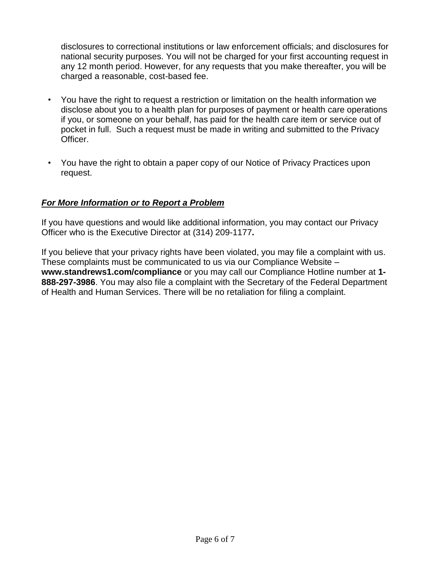disclosures to correctional institutions or law enforcement officials; and disclosures for national security purposes. You will not be charged for your first accounting request in any 12 month period. However, for any requests that you make thereafter, you will be charged a reasonable, cost-based fee.

- You have the right to request a restriction or limitation on the health information we disclose about you to a health plan for purposes of payment or health care operations if you, or someone on your behalf, has paid for the health care item or service out of pocket in full. Such a request must be made in writing and submitted to the Privacy Officer.
- You have the right to obtain a paper copy of our Notice of Privacy Practices upon request.

#### *For More Information or to Report a Problem*

If you have questions and would like additional information, you may contact our Privacy Officer who is the Executive Director at (314) 209-1177**.**

If you believe that your privacy rights have been violated, you may file a complaint with us. These complaints must be communicated to us via our Compliance Website – **www.standrews1.com/compliance** or you may call our Compliance Hotline number at **1- 888-297-3986**. You may also file a complaint with the Secretary of the Federal Department of Health and Human Services. There will be no retaliation for filing a complaint.